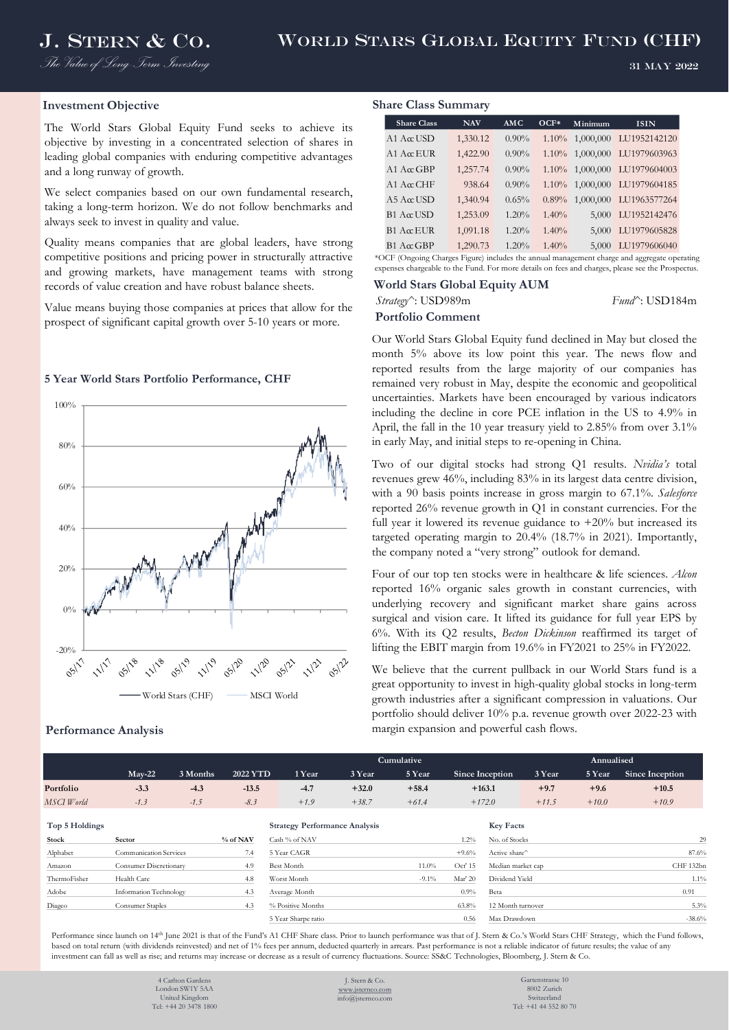*The Value of Long-Term Investing*

31 May 2022

## **Investment Objective**

The World Stars Global Equity Fund seeks to achieve its objective by investing in a concentrated selection of shares in leading global companies with enduring competitive advantages and a long runway of growth.

We select companies based on our own fundamental research, taking a long-term horizon. We do not follow benchmarks and always seek to invest in quality and value.

Quality means companies that are global leaders, have strong competitive positions and pricing power in structurally attractive and growing markets, have management teams with strong records of value creation and have robust balance sheets.

Value means buying those companies at prices that allow for the prospect of significant capital growth over 5-10 years or more.

## **5 Year World Stars Portfolio Performance, CHF**



#### **Performance Analysis**

### **Share Class Summary**

| <b>Share Class</b>  | <b>NAV</b> | <b>AMC</b> | $OCF*$ | Minimum   | <b>ISIN</b>  |
|---------------------|------------|------------|--------|-----------|--------------|
| $A1$ A $\alpha$ USD | 1,330.12   | $0.90\%$   | 1.10%  | 1,000,000 | LU1952142120 |
| $A1 A\alpha EUR$    | 1,422.90   | $0.90\%$   | 1.10%  | 1,000,000 | LU1979603963 |
| $A1$ $A \alpha$ GBP | 1,257.74   | $0.90\%$   | 1.10%  | 1,000,000 | LU1979604003 |
| $A1$ AccCHF         | 938.64     | $0.90\%$   | 1.10%  | 1,000,000 | LU1979604185 |
| $A5 A\alpha$ USD    | 1,340.94   | 0.65%      | 0.89%  | 1,000,000 | LU1963577264 |
| $B1$ Acc USD        | 1,253.09   | 1.20%      | 1.40%  | 5,000     | LU1952142476 |
| $B1$ A $\alpha$ EUR | 1,091.18   | 1.20%      | 1.40%  | 5,000     | LU1979605828 |
| $B1$ AccGBP         | 1,290.73   | 1.20%      | 1.40%  | 5,000     | LU1979606040 |

\*OCF (Ongoing Charges Figure) includes the annual management charge and aggregate operating expenses chargeable to the Fund. For more details on fees and charges, please see the Prospectus.

## **World Stars Global Equity AUM** *Strategy^*: USD989m *Fund^*: USD184m **Portfolio Comment**

Our World Stars Global Equity fund declined in May but closed the month 5% above its low point this year. The news flow and reported results from the large majority of our companies has remained very robust in May, despite the economic and geopolitical uncertainties. Markets have been encouraged by various indicators including the decline in core PCE inflation in the US to 4.9% in April, the fall in the 10 year treasury yield to 2.85% from over 3.1% in early May, and initial steps to re-opening in China.

Two of our digital stocks had strong Q1 results. *Nvidia's* total revenues grew 46%, including 83% in its largest data centre division, with a 90 basis points increase in gross margin to 67.1%. *Salesforce* reported 26% revenue growth in Q1 in constant currencies. For the full year it lowered its revenue guidance to  $+20\%$  but increased its targeted operating margin to 20.4% (18.7% in 2021). Importantly, the company noted a "very strong" outlook for demand.

Four of our top ten stocks were in healthcare & life sciences. *Alcon* reported 16% organic sales growth in constant currencies, with underlying recovery and significant market share gains across surgical and vision care. It lifted its guidance for full year EPS by 6%. With its Q2 results, *Becton Dickinson* reaffirmed its target of lifting the EBIT margin from 19.6% in FY2021 to 25% in FY2022.

We believe that the current pullback in our World Stars fund is a great opportunity to invest in high-quality global stocks in long-term growth industries after a significant compression in valuations. Our portfolio should deliver 10% p.a. revenue growth over 2022-23 with margin expansion and powerful cash flows.

|                |                               |          |          | Cumulative        |                   |                                      |          |          |                   |                | Annualised |                 |  |  |  |
|----------------|-------------------------------|----------|----------|-------------------|-------------------|--------------------------------------|----------|----------|-------------------|----------------|------------|-----------------|--|--|--|
|                | $Mav-22$                      | 3 Months | 2022 YTD |                   | 1 Year            | 3 Year                               | 5 Year   |          | Since Inception   | 3 Year         | 5 Year     | Since Inception |  |  |  |
| Portfolio      | $-3.3$                        | $-4.3$   | $-13.5$  |                   | $-4.7$            | $+32.0$                              | $+58.4$  |          | $+163.1$          | $+9.7$         | $+9.6$     | $+10.5$         |  |  |  |
| MSCI World     | $-1.3$                        | $-1.5$   | $-8.3$   |                   | $+1.9$            | $+38.7$                              | $+61.4$  |          | $+172.0$          | $+11.5$        | $+10.0$    | $+10.9$         |  |  |  |
|                |                               |          |          |                   |                   |                                      |          |          |                   |                |            |                 |  |  |  |
| Top 5 Holdings |                               |          |          |                   |                   | <b>Strategy Performance Analysis</b> |          |          | <b>Key Facts</b>  |                |            |                 |  |  |  |
| Stock          | Sector                        |          | % of NAV | Cash % of NAV     |                   |                                      |          | $1.2\%$  | No. of Stocks     |                |            | 29              |  |  |  |
| Alphabet       | <b>Communication Services</b> |          | 7.4      | 5 Year CAGR       |                   |                                      |          | $+9.6%$  | Active share^     |                |            | 87.6%           |  |  |  |
| Amazon         | Consumer Discretionary        |          | 4.9      | <b>Best Month</b> |                   |                                      | $11.0\%$ | Oct' 15  | Median market cap |                |            | CHF 132bn       |  |  |  |
| ThermoFisher   | Health Care                   |          | 4.8      | Worst Month       |                   |                                      | $-9.1\%$ | Mar' 20  |                   | Dividend Yield |            | $1.1\%$         |  |  |  |
| Adobe          | Information Technology        |          | 4.3      | Average Month     |                   |                                      |          | $0.9\%$  | Beta              |                |            |                 |  |  |  |
| Diageo         | Consumer Staples              |          | 4.3      |                   | % Positive Months |                                      |          | $63.8\%$ | 12 Month turnover |                |            | 5.3%            |  |  |  |

Performance since launch on 14<sup>th</sup> June 2021 is that of the Fund's A1 CHF Share class. Prior to launch performance was that of J. Stern & Co.'s World Stars CHF Strategy, which the Fund follows, based on total return (with dividends reinvested) and net of 1% fees per annum, deducted quarterly in arrears. Past performance is not a reliable indicator of future results; the value of any investment can fall as well as rise; and returns may increase or decrease as a result of currency fluctuations. Source: SS&C Technologies, Bloomberg, J. Stern & Co.

> 4 Carlton Garden London SW1Y 5AA United Kingdom Tel: +44 20 3478 1800

J. Stern & Co. [www.jsternco.com](http://www.jsternco.com/) info@jsternco.com

Gartenstrasse 10 8002 Zurich Switzerland Tel: +41 44 552 80 70

5 Year Sharpe ratio 0.56 Max Drawdown -38.6%